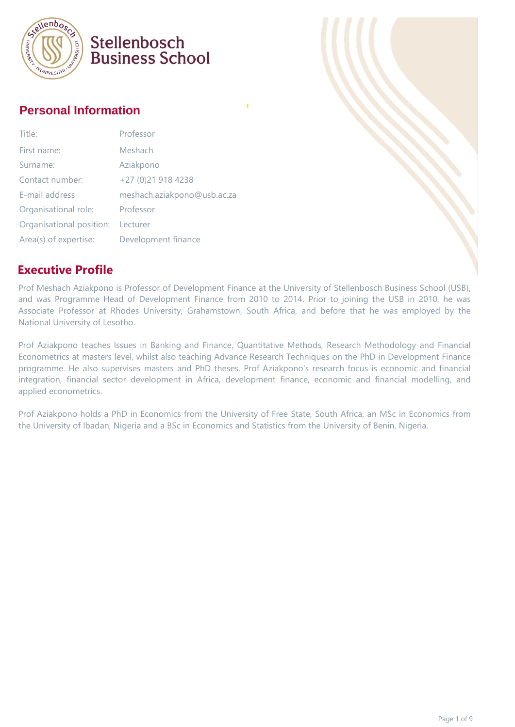

#### **Personal Information**

| Title:                   | Professor                   |
|--------------------------|-----------------------------|
| First name:              | Meshach                     |
| Surname:                 | Aziakpono                   |
| Contact number:          | +27 (0)21 918 4238          |
| E-mail address           | meshach.aziakpono@usb.ac.za |
| Organisational role:     | Professor                   |
| Organisational position: | Lecturer                    |
| Area(s) of expertise:    | Development finance         |

#### **Executive Profile**

Prof Meshach Aziakpono is Professor of Development Finance at the University of Stellenbosch Business School (USB), and was Programme Head of Development Finance from 2010 to 2014. Prior to joining the USB in 2010, he was Associate Professor at Rhodes University, Grahamstown, South Africa, and before that he was employed by the National University of Lesotho.

Prof Aziakpono teaches Issues in Banking and Finance, Quantitative Methods, Research Methodology and Financial Econometrics at masters level, whilst also teaching Advance Research Techniques on the PhD in Development Finance programme. He also supervises masters and PhD theses. Prof Aziakpono's research focus is economic and financial integration, financial sector development in Africa, development finance, economic and financial modelling, and applied econometrics.

Prof Aziakpono holds a PhD in Economics from the University of Free State, South Africa, an MSc in Economics from the University of Ibadan, Nigeria and a BSc in Economics and Statistics from the University of Benin, Nigeria.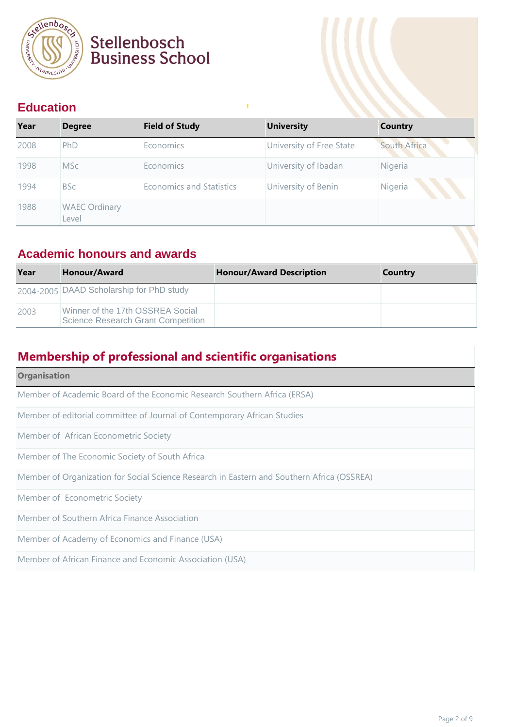

#### **Education**

| Year | <b>Degree</b>                 | <b>Field of Study</b>           | <b>University</b>        | <b>Country</b> |
|------|-------------------------------|---------------------------------|--------------------------|----------------|
| 2008 | PhD                           | Economics                       | University of Free State | South Africa   |
| 1998 | <b>MSc</b>                    | <b>Economics</b>                | University of Ibadan     | Nigeria        |
| 1994 | <b>BSc</b>                    | <b>Economics and Statistics</b> | University of Benin      | Nigeria        |
| 1988 | <b>WAEC Ordinary</b><br>Level |                                 |                          |                |

п

#### **Academic honours and awards**

| Year | Honour/Award                                                                  | <b>Honour/Award Description</b> | Country |
|------|-------------------------------------------------------------------------------|---------------------------------|---------|
|      | 2004-2005 DAAD Scholarship for PhD study                                      |                                 |         |
| 2003 | Winner of the 17th OSSREA Social<br><b>Science Research Grant Competition</b> |                                 |         |

#### **Membership of professional and scientific organisations**

| <b>Organisation</b>                                                                        |
|--------------------------------------------------------------------------------------------|
| Member of Academic Board of the Economic Research Southern Africa (ERSA)                   |
| Member of editorial committee of Journal of Contemporary African Studies                   |
| Member of African Econometric Society                                                      |
| Member of The Economic Society of South Africa                                             |
| Member of Organization for Social Science Research in Eastern and Southern Africa (OSSREA) |
| Member of Econometric Society                                                              |
| Member of Southern Africa Finance Association                                              |
| Member of Academy of Economics and Finance (USA)                                           |
| Member of African Finance and Economic Association (USA)                                   |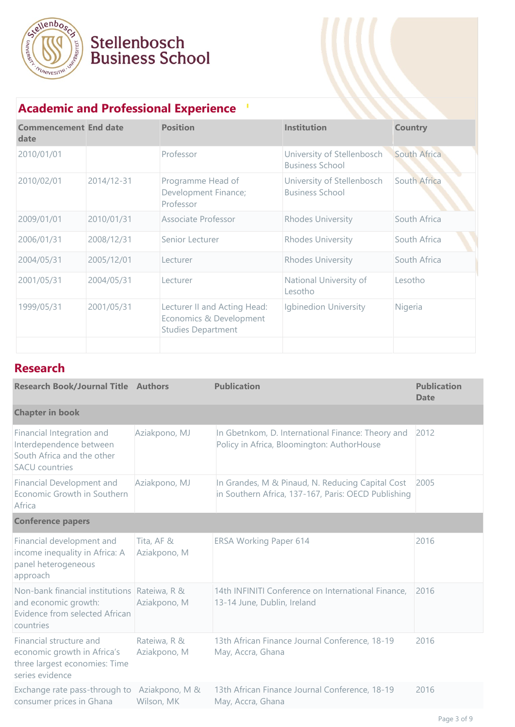

### **Academic and Professional Experience**

| <b>Commencement End date</b><br>date |            | <b>Position</b>                                                                      | <b>Institution</b>                                   | <b>Country</b> |
|--------------------------------------|------------|--------------------------------------------------------------------------------------|------------------------------------------------------|----------------|
| 2010/01/01                           |            | Professor                                                                            | University of Stellenbosch<br><b>Business School</b> | South Africa   |
| 2010/02/01                           | 2014/12-31 | Programme Head of<br>Development Finance;<br>Professor                               | University of Stellenbosch<br><b>Business School</b> | South Africa   |
| 2009/01/01                           | 2010/01/31 | Associate Professor                                                                  | <b>Rhodes University</b>                             | South Africa   |
| 2006/01/31                           | 2008/12/31 | Senior Lecturer                                                                      | <b>Rhodes University</b>                             | South Africa   |
| 2004/05/31                           | 2005/12/01 | Lecturer                                                                             | <b>Rhodes University</b>                             | South Africa   |
| 2001/05/31                           | 2004/05/31 | Lecturer                                                                             | National University of<br>Lesotho                    | Lesotho        |
| 1999/05/31                           | 2001/05/31 | Lecturer II and Acting Head:<br>Economics & Development<br><b>Studies Department</b> | <b>Igbinedion University</b>                         | Nigeria        |
|                                      |            |                                                                                      |                                                      |                |

#### **Research**

| <b>Research Book/Journal Title Authors</b>                                                                          |                              | <b>Publication</b>                                                                                      | <b>Publication</b><br><b>Date</b> |
|---------------------------------------------------------------------------------------------------------------------|------------------------------|---------------------------------------------------------------------------------------------------------|-----------------------------------|
| <b>Chapter in book</b>                                                                                              |                              |                                                                                                         |                                   |
| Financial Integration and<br>Interdependence between<br>South Africa and the other<br><b>SACU</b> countries         | Aziakpono, MJ                | In Gbetnkom, D. International Finance: Theory and<br>Policy in Africa, Bloomington: AuthorHouse         | 2012                              |
| Financial Development and<br>Economic Growth in Southern<br>Africa                                                  | Aziakpono, MJ                | In Grandes, M & Pinaud, N. Reducing Capital Cost<br>in Southern Africa, 137-167, Paris: OECD Publishing | 2005                              |
| <b>Conference papers</b>                                                                                            |                              |                                                                                                         |                                   |
| Financial development and<br>income inequality in Africa: A<br>panel heterogeneous<br>approach                      | Tita, AF &<br>Aziakpono, M   | <b>ERSA Working Paper 614</b>                                                                           | 2016                              |
| Non-bank financial institutions Rateiwa, R &<br>and economic growth:<br>Evidence from selected African<br>countries | Aziakpono, M                 | 14th INFINITI Conference on International Finance,<br>13-14 June, Dublin, Ireland                       | 2016                              |
| Financial structure and<br>economic growth in Africa's<br>three largest economies: Time<br>series evidence          | Rateiwa, R &<br>Aziakpono, M | 13th African Finance Journal Conference, 18-19<br>May, Accra, Ghana                                     | 2016                              |
| Exchange rate pass-through to<br>consumer prices in Ghana                                                           | Aziakpono, M &<br>Wilson, MK | 13th African Finance Journal Conference, 18-19<br>May, Accra, Ghana                                     | 2016                              |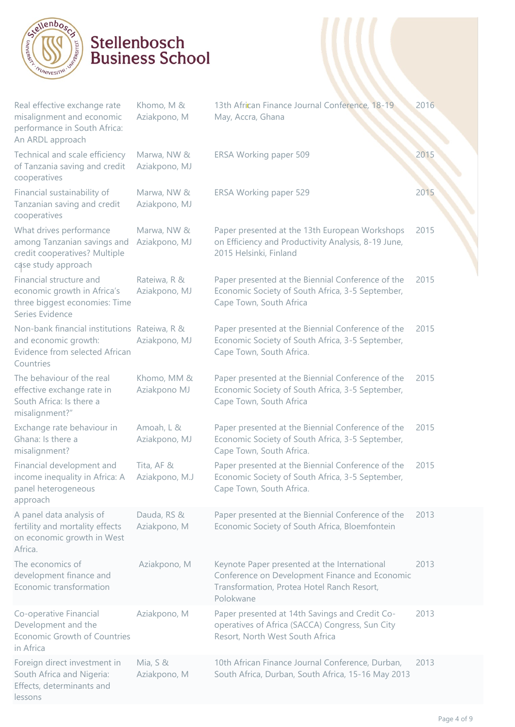

| Real effective exchange rate<br>misalignment and economic<br>performance in South Africa:<br>An ARDL approach       | Khomo, M &<br>Aziakpono, M    | 13th African Finance Journal Conference, 18-19<br>May, Accra, Ghana                                                                                       | 2016 |
|---------------------------------------------------------------------------------------------------------------------|-------------------------------|-----------------------------------------------------------------------------------------------------------------------------------------------------------|------|
| Technical and scale efficiency<br>of Tanzania saving and credit<br>cooperatives                                     | Marwa, NW &<br>Aziakpono, MJ  | ERSA Working paper 509                                                                                                                                    | 2015 |
| Financial sustainability of<br>Tanzanian saving and credit<br>cooperatives                                          | Marwa, NW &<br>Aziakpono, MJ  | ERSA Working paper 529                                                                                                                                    | 2015 |
| What drives performance<br>among Tanzanian savings and<br>credit cooperatives? Multiple<br>case study approach      | Marwa, NW &<br>Aziakpono, MJ  | Paper presented at the 13th European Workshops<br>on Efficiency and Productivity Analysis, 8-19 June,<br>2015 Helsinki, Finland                           | 2015 |
| Financial structure and<br>economic growth in Africa's<br>three biggest economies: Time<br>Series Evidence          | Rateiwa, R &<br>Aziakpono, MJ | Paper presented at the Biennial Conference of the<br>Economic Society of South Africa, 3-5 September,<br>Cape Town, South Africa                          | 2015 |
| Non-bank financial institutions Rateiwa, R &<br>and economic growth:<br>Evidence from selected African<br>Countries | Aziakpono, MJ                 | Paper presented at the Biennial Conference of the<br>Economic Society of South Africa, 3-5 September,<br>Cape Town, South Africa.                         | 2015 |
| The behaviour of the real<br>effective exchange rate in<br>South Africa: Is there a<br>misalignment?"               | Khomo, MM &<br>Aziakpono MJ   | Paper presented at the Biennial Conference of the<br>Economic Society of South Africa, 3-5 September,<br>Cape Town, South Africa                          | 2015 |
| Exchange rate behaviour in<br>Ghana: Is there a<br>misalignment?                                                    | Amoah, L &<br>Aziakpono, MJ   | Paper presented at the Biennial Conference of the<br>Economic Society of South Africa, 3-5 September,<br>Cape Town, South Africa.                         | 2015 |
| Financial development and<br>income inequality in Africa: A<br>panel heterogeneous<br>approach                      | Tita, AF &<br>Aziakpono, M.J  | Paper presented at the Biennial Conference of the<br>Economic Society of South Africa, 3-5 September,<br>Cape Town, South Africa.                         | 2015 |
| A panel data analysis of<br>fertility and mortality effects<br>on economic growth in West<br>Africa.                | Dauda, RS &<br>Aziakpono, M   | Paper presented at the Biennial Conference of the<br>Economic Society of South Africa, Bloemfontein                                                       | 2013 |
| The economics of<br>development finance and<br>Economic transformation                                              | Aziakpono, M                  | Keynote Paper presented at the International<br>Conference on Development Finance and Economic<br>Transformation, Protea Hotel Ranch Resort,<br>Polokwane | 2013 |
| Co-operative Financial<br>Development and the<br>Economic Growth of Countries<br>in Africa                          | Aziakpono, M                  | Paper presented at 14th Savings and Credit Co-<br>operatives of Africa (SACCA) Congress, Sun City<br>Resort, North West South Africa                      | 2013 |
| Foreign direct investment in<br>South Africa and Nigeria:<br>Effects, determinants and<br>lessons                   | Mia, $S &$<br>Aziakpono, M    | 10th African Finance Journal Conference, Durban,<br>South Africa, Durban, South Africa, 15-16 May 2013                                                    | 2013 |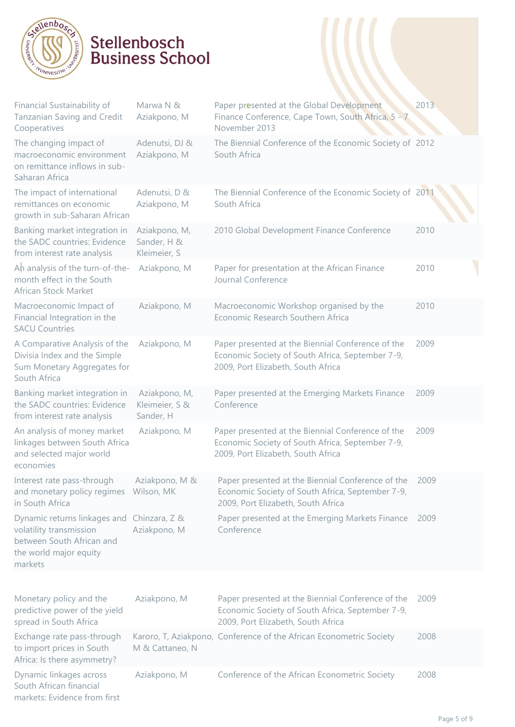

| Financial Sustainability of<br>Tanzanian Saving and Credit<br>Cooperatives                                                              | Marwa N &<br>Aziakpono, M                    | Paper presented at the Global Development<br>Finance Conference, Cape Town, South Africa, 5 - 7<br>November 2013                            | 2013 |
|-----------------------------------------------------------------------------------------------------------------------------------------|----------------------------------------------|---------------------------------------------------------------------------------------------------------------------------------------------|------|
| The changing impact of<br>macroeconomic environment<br>on remittance inflows in sub-<br>Saharan Africa                                  | Adenutsi, DJ &<br>Aziakpono, M               | The Biennial Conference of the Economic Society of 2012<br>South Africa                                                                     |      |
| The impact of international<br>remittances on economic<br>growth in sub-Saharan African                                                 | Adenutsi, D &<br>Aziakpono, M                | The Biennial Conference of the Economic Society of 2011<br>South Africa                                                                     |      |
| Banking market integration in<br>the SADC countries: Evidence<br>from interest rate analysis                                            | Aziakpono, M,<br>Sander, H &<br>Kleimeier, S | 2010 Global Development Finance Conference                                                                                                  | 2010 |
| Ah analysis of the turn-of-the-<br>month effect in the South<br>African Stock Market                                                    | Aziakpono, M                                 | Paper for presentation at the African Finance<br>Journal Conference                                                                         | 2010 |
| Macroeconomic Impact of<br>Financial Integration in the<br><b>SACU Countries</b>                                                        | Aziakpono, M                                 | Macroeconomic Workshop organised by the<br>Economic Research Southern Africa                                                                | 2010 |
| A Comparative Analysis of the<br>Divisia Index and the Simple<br>Sum Monetary Aggregates for<br>South Africa                            | Aziakpono, M                                 | Paper presented at the Biennial Conference of the<br>Economic Society of South Africa, September 7-9,<br>2009, Port Elizabeth, South Africa | 2009 |
| Banking market integration in<br>the SADC countries: Evidence<br>from interest rate analysis                                            | Aziakpono, M,<br>Kleimeier, S &<br>Sander, H | Paper presented at the Emerging Markets Finance<br>Conference                                                                               | 2009 |
| An analysis of money market<br>linkages between South Africa<br>and selected major world<br>economies                                   | Aziakpono, M                                 | Paper presented at the Biennial Conference of the<br>Economic Society of South Africa, September 7-9,<br>2009, Port Elizabeth, South Africa | 2009 |
| Interest rate pass-through<br>and monetary policy regimes Wilson, MK<br>in South Africa                                                 | Aziakpono, M &                               | Paper presented at the Biennial Conference of the<br>Economic Society of South Africa, September 7-9,<br>2009, Port Elizabeth, South Africa | 2009 |
| Dynamic returns linkages and Chinzara, Z &<br>volatility transmission<br>between South African and<br>the world major equity<br>markets | Aziakpono, M                                 | Paper presented at the Emerging Markets Finance<br>Conference                                                                               | 2009 |
|                                                                                                                                         |                                              |                                                                                                                                             |      |
| Monetary policy and the<br>predictive power of the yield<br>spread in South Africa                                                      | Aziakpono, M                                 | Paper presented at the Biennial Conference of the<br>Economic Society of South Africa, September 7-9,<br>2009, Port Elizabeth, South Africa | 2009 |
| Exchange rate pass-through                                                                                                              |                                              | Karoro, T, Aziakpono, Conference of the African Econometric Society                                                                         | 2008 |

Aziakpono, M Conference of the African Econometric Society 2008

South African financial markets: Evidence from first

to import prices in South Africa: Is there asymmetry?

Dynamic linkages across

M & Cattaneo, N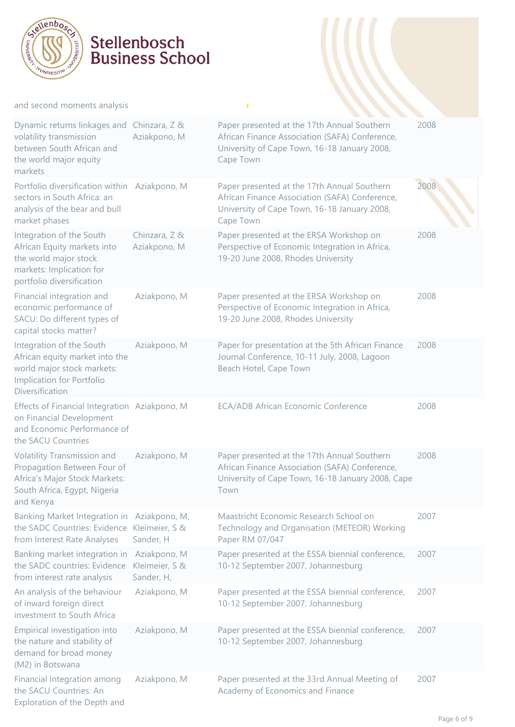

#### and second moments analysis

| Dynamic returns linkages and<br>volatility transmission<br>between South African and<br>the world major equity<br>markets                 | Chinzara, Z &<br>Aziakpono, M                | Paper presented at the 17th Annual Southern<br>African Finance Association (SAFA) Conference,<br>University of Cape Town, 16-18 January 2008,<br>Cape Town | 2008 |
|-------------------------------------------------------------------------------------------------------------------------------------------|----------------------------------------------|------------------------------------------------------------------------------------------------------------------------------------------------------------|------|
| Portfolio diversification within Aziakpono, M<br>sectors in South Africa: an<br>analysis of the bear and bull<br>market phases            |                                              | Paper presented at the 17th Annual Southern<br>African Finance Association (SAFA) Conference,<br>University of Cape Town, 16-18 January 2008,<br>Cape Town | 2008 |
| Integration of the South<br>African Equity markets into<br>the world major stock<br>markets: Implication for<br>portfolio diversification | Chinzara, Z &<br>Aziakpono, M                | Paper presented at the ERSA Workshop on<br>Perspective of Economic Integration in Africa,<br>19-20 June 2008, Rhodes University                            | 2008 |
| Financial integration and<br>economic performance of<br>SACU: Do different types of<br>capital stocks matter?                             | Aziakpono, M                                 | Paper presented at the ERSA Workshop on<br>Perspective of Economic Integration in Africa,<br>19-20 June 2008, Rhodes University                            | 2008 |
| Integration of the South<br>African equity market into the<br>world major stock markets:<br>Implication for Portfolio<br>Diversification  | Aziakpono, M                                 | Paper for presentation at the 5th African Finance<br>Journal Conference, 10-11 July, 2008, Lagoon<br>Beach Hotel, Cape Town                                | 2008 |
| Effects of Financial Integration Aziakpono, M<br>on Financial Development<br>and Economic Performance of<br>the SACU Countries            |                                              | ECA/ADB African Economic Conference                                                                                                                        | 2008 |
| Volatility Transmission and<br>Propagation Between Four of<br>Africa's Major Stock Markets:<br>South Africa, Egypt, Nigeria<br>and Kenya  | Aziakpono, M                                 | Paper presented at the 17th Annual Southern<br>African Finance Association (SAFA) Conference,<br>University of Cape Town, 16-18 January 2008, Cape<br>Town | 2008 |
| Banking Market Integration in<br>the SADC Countries: Evidence<br>from Interest Rate Analyses                                              | Aziakpono, M,<br>Kleimeier, S &<br>Sander, H | Maastricht Economic Research School on<br>Technology and Organisation (METEOR) Working<br>Paper RM 07/047                                                  | 2007 |
| Banking market integration in<br>the SADC countries: Evidence<br>from interest rate analysis                                              | Aziakpono, M<br>Kleimeier, S &<br>Sander, H, | Paper presented at the ESSA biennial conference,<br>10-12 September 2007, Johannesburg                                                                     | 2007 |
| An analysis of the behaviour<br>of inward foreign direct<br>investment to South Africa                                                    | Aziakpono, M                                 | Paper presented at the ESSA biennial conference,<br>10-12 September 2007, Johannesburg                                                                     | 2007 |
| Empirical investigation into<br>the nature and stability of<br>demand for broad money<br>(M2) in Botswana                                 | Aziakpono, M                                 | Paper presented at the ESSA biennial conference,<br>10-12 September 2007, Johannesburg                                                                     | 2007 |
| Financial Integration among<br>the SACU Countries: An<br>Exploration of the Depth and                                                     | Aziakpono, M                                 | Paper presented at the 33rd Annual Meeting of<br>Academy of Economics and Finance                                                                          | 2007 |

T,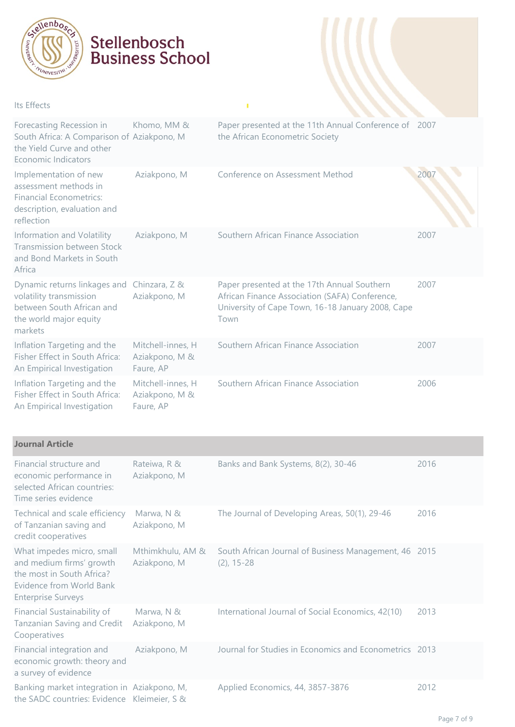

#### Its Effects

| Forecasting Recession in<br>South Africa: A Comparison of Aziakpono, M<br>the Yield Curve and other<br>Economic Indicators    | Khomo, MM &                                      | Paper presented at the 11th Annual Conference of 2007<br>the African Econometric Society                                                                   |      |
|-------------------------------------------------------------------------------------------------------------------------------|--------------------------------------------------|------------------------------------------------------------------------------------------------------------------------------------------------------------|------|
| Implementation of new<br>assessment methods in<br><b>Financial Econometrics:</b><br>description, evaluation and<br>reflection | Aziakpono, M                                     | Conference on Assessment Method                                                                                                                            | 200  |
| Information and Volatility<br><b>Transmission between Stock</b><br>and Bond Markets in South<br>Africa                        | Aziakpono, M                                     | Southern African Finance Association                                                                                                                       | 2007 |
| Dynamic returns linkages and<br>volatility transmission<br>between South African and<br>the world major equity<br>markets     | Chinzara, Z &<br>Aziakpono, M                    | Paper presented at the 17th Annual Southern<br>African Finance Association (SAFA) Conference,<br>University of Cape Town, 16-18 January 2008, Cape<br>Town | 2007 |
| Inflation Targeting and the<br>Fisher Effect in South Africa:<br>An Empirical Investigation                                   | Mitchell-innes, H<br>Aziakpono, M &<br>Faure, AP | Southern African Finance Association                                                                                                                       | 2007 |
| Inflation Targeting and the<br>Fisher Effect in South Africa:<br>An Empirical Investigation                                   | Mitchell-innes, H<br>Aziakpono, M &<br>Faure, AP | Southern African Finance Association                                                                                                                       | 2006 |

Ŷ,

| <b>Journal Article</b>                                                                                                                      |                                  |                                                                        |      |
|---------------------------------------------------------------------------------------------------------------------------------------------|----------------------------------|------------------------------------------------------------------------|------|
| Financial structure and<br>economic performance in<br>selected African countries:<br>Time series evidence                                   | Rateiwa, R &<br>Aziakpono, M     | Banks and Bank Systems, 8(2), 30-46                                    | 2016 |
| Technical and scale efficiency<br>of Tanzanian saving and<br>credit cooperatives                                                            | Marwa, N &<br>Aziakpono, M       | The Journal of Developing Areas, 50(1), 29-46                          | 2016 |
| What impedes micro, small<br>and medium firms' growth<br>the most in South Africa?<br>Evidence from World Bank<br><b>Enterprise Surveys</b> | Mthimkhulu, AM &<br>Aziakpono, M | South African Journal of Business Management, 46 2015<br>$(2)$ , 15-28 |      |
| Financial Sustainability of<br>Tanzanian Saving and Credit<br>Cooperatives                                                                  | Marwa, N &<br>Aziakpono, M       | International Journal of Social Economics, 42(10)                      | 2013 |
| Financial integration and<br>economic growth: theory and<br>a survey of evidence                                                            | Aziakpono, M                     | Journal for Studies in Economics and Econometrics 2013                 |      |
| Banking market integration in Aziakpono, M,<br>the SADC countries: Evidence Kleimeier, S &                                                  |                                  | Applied Economics, 44, 3857-3876                                       | 2012 |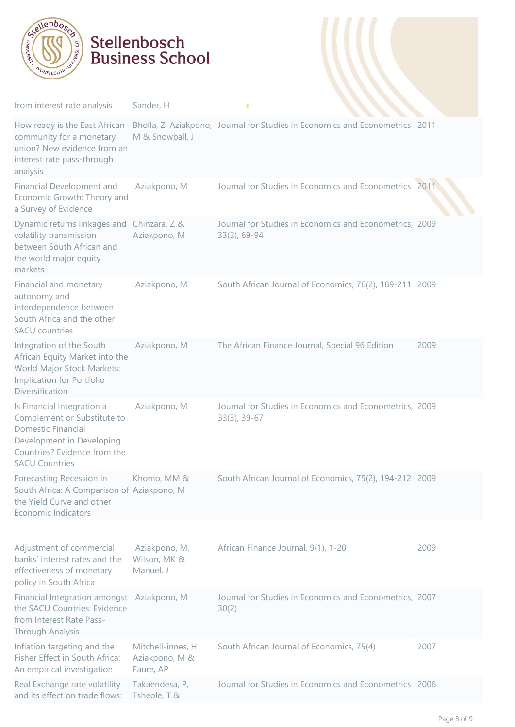

| from interest rate analysis                                                                                                                                                  | Sander, H                                        | п                                                                            |      |
|------------------------------------------------------------------------------------------------------------------------------------------------------------------------------|--------------------------------------------------|------------------------------------------------------------------------------|------|
| How ready is the East African<br>community for a monetary<br>union? New evidence from an<br>interest rate pass-through<br>analysis                                           | M & Snowball, J                                  | Bholla, Z, Aziakpono, Journal for Studies in Economics and Econometrics 2011 |      |
| Financial Development and<br>Economic Growth: Theory and<br>a Survey of Evidence                                                                                             | Aziakpono, M                                     | Journal for Studies in Economics and Econometrics 2011                       |      |
| Dynamic returns linkages and<br>volatility transmission<br>between South African and<br>the world major equity<br>markets                                                    | Chinzara, Z &<br>Aziakpono, M                    | Journal for Studies in Economics and Econometrics, 2009<br>$33(3)$ , 69-94   |      |
| Financial and monetary<br>autonomy and<br>interdependence between<br>South Africa and the other<br><b>SACU</b> countries                                                     | Aziakpono, M                                     | South African Journal of Economics, 76(2), 189-211 2009                      |      |
| Integration of the South<br>African Equity Market into the<br>World Major Stock Markets:<br>Implication for Portfolio<br>Diversification                                     | Aziakpono, M                                     | The African Finance Journal, Special 96 Edition                              | 2009 |
| Is Financial Integration a<br>Complement or Substitute to<br><b>Domestic Financial</b><br>Development in Developing<br>Countries? Evidence from the<br><b>SACU Countries</b> | Aziakpono, M                                     | Journal for Studies in Economics and Econometrics, 2009<br>33(3), 39-67      |      |
| Forecasting Recession in<br>South Africa: A Comparison of Aziakpono, M<br>the Yield Curve and other<br><b>Economic Indicators</b>                                            | Khomo, MM &                                      | South African Journal of Economics, 75(2), 194-212 2009                      |      |
| Adjustment of commercial<br>banks' interest rates and the<br>effectiveness of monetary<br>policy in South Africa                                                             | Aziakpono, M,<br>Wilson, MK &<br>Manuel, J       | African Finance Journal, 9(1), 1-20                                          | 2009 |
| Financial Integration amongst Aziakpono, M<br>the SACU Countries: Evidence<br>from Interest Rate Pass-<br>Through Analysis                                                   |                                                  | Journal for Studies in Economics and Econometrics, 2007<br>30(2)             |      |
| Inflation targeting and the<br>Fisher Effect in South Africa:<br>An empirical investigation                                                                                  | Mitchell-innes, H<br>Aziakpono, M &<br>Faure, AP | South African Journal of Economics, 75(4)                                    | 2007 |
| Real Exchange rate volatility<br>and its effect on trade flows:                                                                                                              | Takaendesa, P,<br>Tsheole, T &                   | Journal for Studies in Economics and Econometrics 2006                       |      |